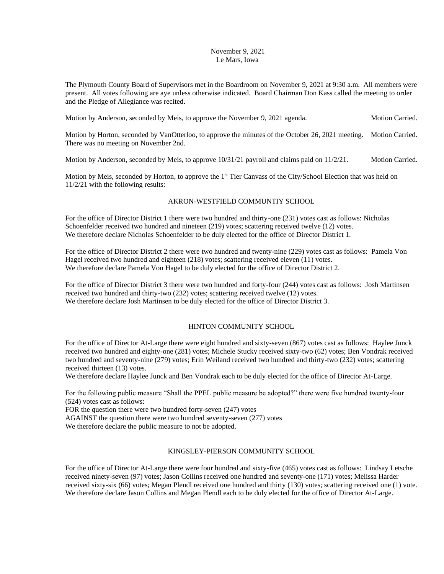### November 9, 2021 Le Mars, Iowa

The Plymouth County Board of Supervisors met in the Boardroom on November 9, 2021 at 9:30 a.m. All members were present. All votes following are aye unless otherwise indicated. Board Chairman Don Kass called the meeting to order and the Pledge of Allegiance was recited.

Motion by Anderson, seconded by Meis, to approve the November 9, 2021 agenda. Motion Carried.

Motion by Horton, seconded by VanOtterloo, to approve the minutes of the October 26, 2021 meeting. Motion Carried. There was no meeting on November 2nd.

Motion by Anderson, seconded by Meis, to approve 10/31/21 payroll and claims paid on 11/2/21. Motion Carried.

Motion by Meis, seconded by Horton, to approve the 1<sup>st</sup> Tier Canvass of the City/School Election that was held on 11/2/21 with the following results:

# AKRON-WESTFIELD COMMUNTIY SCHOOL

For the office of Director District 1 there were two hundred and thirty-one (231) votes cast as follows: Nicholas Schoenfelder received two hundred and nineteen (219) votes; scattering received twelve (12) votes. We therefore declare Nicholas Schoenfelder to be duly elected for the office of Director District 1.

For the office of Director District 2 there were two hundred and twenty-nine (229) votes cast as follows: Pamela Von Hagel received two hundred and eighteen (218) votes; scattering received eleven (11) votes. We therefore declare Pamela Von Hagel to be duly elected for the office of Director District 2.

For the office of Director District 3 there were two hundred and forty-four (244) votes cast as follows: Josh Martinsen received two hundred and thirty-two (232) votes; scattering received twelve (12) votes. We therefore declare Josh Martinsen to be duly elected for the office of Director District 3.

## HINTON COMMUNITY SCHOOL

For the office of Director At-Large there were eight hundred and sixty-seven (867) votes cast as follows: Haylee Junck received two hundred and eighty-one (281) votes; Michele Stucky received sixty-two (62) votes; Ben Vondrak received two hundred and seventy-nine (279) votes; Erin Weiland received two hundred and thirty-two (232) votes; scattering received thirteen (13) votes.

We therefore declare Haylee Junck and Ben Vondrak each to be duly elected for the office of Director At-Large.

For the following public measure "Shall the PPEL public measure be adopted?" there were five hundred twenty-four (524) votes cast as follows:

FOR the question there were two hundred forty-seven (247) votes

AGAINST the question there were two hundred seventy-seven (277) votes

We therefore declare the public measure to not be adopted.

## KINGSLEY-PIERSON COMMUNITY SCHOOL

For the office of Director At-Large there were four hundred and sixty-five (465) votes cast as follows: Lindsay Letsche received ninety-seven (97) votes; Jason Collins received one hundred and seventy-one (171) votes; Melissa Harder received sixty-six (66) votes; Megan Plendl received one hundred and thirty (130) votes; scattering received one (1) vote. We therefore declare Jason Collins and Megan Plendl each to be duly elected for the office of Director At-Large.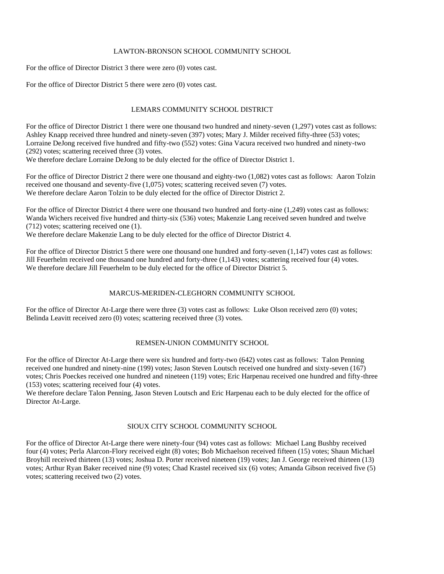### LAWTON-BRONSON SCHOOL COMMUNITY SCHOOL

For the office of Director District 3 there were zero (0) votes cast.

For the office of Director District 5 there were zero (0) votes cast.

## LEMARS COMMUNITY SCHOOL DISTRICT

For the office of Director District 1 there were one thousand two hundred and ninety-seven  $(1,297)$  votes cast as follows: Ashley Knapp received three hundred and ninety-seven (397) votes; Mary J. Milder received fifty-three (53) votes; Lorraine DeJong received five hundred and fifty-two (552) votes: Gina Vacura received two hundred and ninety-two (292) votes; scattering received three (3) votes.

We therefore declare Lorraine DeJong to be duly elected for the office of Director District 1.

For the office of Director District 2 there were one thousand and eighty-two (1,082) votes cast as follows: Aaron Tolzin received one thousand and seventy-five (1,075) votes; scattering received seven (7) votes. We therefore declare Aaron Tolzin to be duly elected for the office of Director District 2.

For the office of Director District 4 there were one thousand two hundred and forty-nine  $(1,249)$  votes cast as follows: Wanda Wichers received five hundred and thirty-six (536) votes; Makenzie Lang received seven hundred and twelve (712) votes; scattering received one (1).

We therefore declare Makenzie Lang to be duly elected for the office of Director District 4.

For the office of Director District 5 there were one thousand one hundred and forty-seven (1,147) votes cast as follows: Jill Feuerhelm received one thousand one hundred and forty-three (1,143) votes; scattering received four (4) votes. We therefore declare Jill Feuerhelm to be duly elected for the office of Director District 5.

## MARCUS-MERIDEN-CLEGHORN COMMUNITY SCHOOL

For the office of Director At-Large there were three (3) votes cast as follows: Luke Olson received zero (0) votes; Belinda Leavitt received zero (0) votes; scattering received three (3) votes.

## REMSEN-UNION COMMUNITY SCHOOL

For the office of Director At-Large there were six hundred and forty-two (642) votes cast as follows: Talon Penning received one hundred and ninety-nine (199) votes; Jason Steven Loutsch received one hundred and sixty-seven (167) votes; Chris Poeckes received one hundred and nineteen (119) votes; Eric Harpenau received one hundred and fifty-three (153) votes; scattering received four (4) votes.

We therefore declare Talon Penning, Jason Steven Loutsch and Eric Harpenau each to be duly elected for the office of Director At-Large.

## SIOUX CITY SCHOOL COMMUNITY SCHOOL

For the office of Director At-Large there were ninety-four (94) votes cast as follows: Michael Lang Bushby received four (4) votes; Perla Alarcon-Flory received eight (8) votes; Bob Michaelson received fifteen (15) votes; Shaun Michael Broyhill received thirteen (13) votes; Joshua D. Porter received nineteen (19) votes; Jan J. George received thirteen (13) votes; Arthur Ryan Baker received nine (9) votes; Chad Krastel received six (6) votes; Amanda Gibson received five (5) votes; scattering received two (2) votes.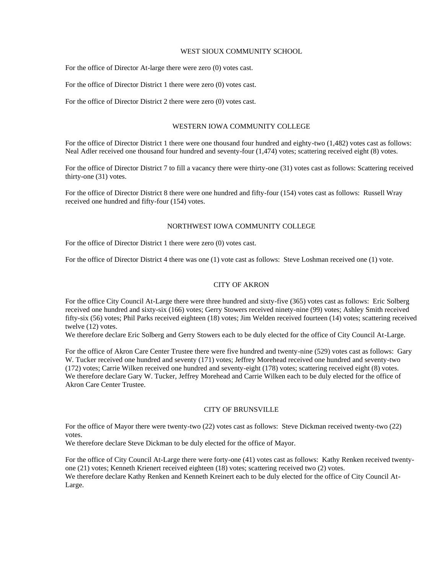#### WEST SIOUX COMMUNITY SCHOOL

For the office of Director At-large there were zero (0) votes cast.

For the office of Director District 1 there were zero (0) votes cast.

For the office of Director District 2 there were zero (0) votes cast.

#### WESTERN IOWA COMMUNITY COLLEGE

For the office of Director District 1 there were one thousand four hundred and eighty-two (1,482) votes cast as follows: Neal Adler received one thousand four hundred and seventy-four (1,474) votes; scattering received eight (8) votes.

For the office of Director District 7 to fill a vacancy there were thirty-one (31) votes cast as follows: Scattering received thirty-one (31) votes.

For the office of Director District 8 there were one hundred and fifty-four (154) votes cast as follows: Russell Wray received one hundred and fifty-four (154) votes.

### NORTHWEST IOWA COMMUNITY COLLEGE

For the office of Director District 1 there were zero (0) votes cast.

For the office of Director District 4 there was one (1) vote cast as follows: Steve Loshman received one (1) vote.

### CITY OF AKRON

For the office City Council At-Large there were three hundred and sixty-five (365) votes cast as follows: Eric Solberg received one hundred and sixty-six (166) votes; Gerry Stowers received ninety-nine (99) votes; Ashley Smith received fifty-six (56) votes; Phil Parks received eighteen (18) votes; Jim Welden received fourteen (14) votes; scattering received twelve (12) votes.

We therefore declare Eric Solberg and Gerry Stowers each to be duly elected for the office of City Council At-Large.

For the office of Akron Care Center Trustee there were five hundred and twenty-nine (529) votes cast as follows: Gary W. Tucker received one hundred and seventy (171) votes; Jeffrey Morehead received one hundred and seventy-two (172) votes; Carrie Wilken received one hundred and seventy-eight (178) votes; scattering received eight (8) votes. We therefore declare Gary W. Tucker, Jeffrey Morehead and Carrie Wilken each to be duly elected for the office of Akron Care Center Trustee.

#### CITY OF BRUNSVILLE

For the office of Mayor there were twenty-two (22) votes cast as follows: Steve Dickman received twenty-two (22) votes.

We therefore declare Steve Dickman to be duly elected for the office of Mayor.

For the office of City Council At-Large there were forty-one (41) votes cast as follows: Kathy Renken received twentyone (21) votes; Kenneth Krienert received eighteen (18) votes; scattering received two (2) votes. We therefore declare Kathy Renken and Kenneth Kreinert each to be duly elected for the office of City Council At-Large.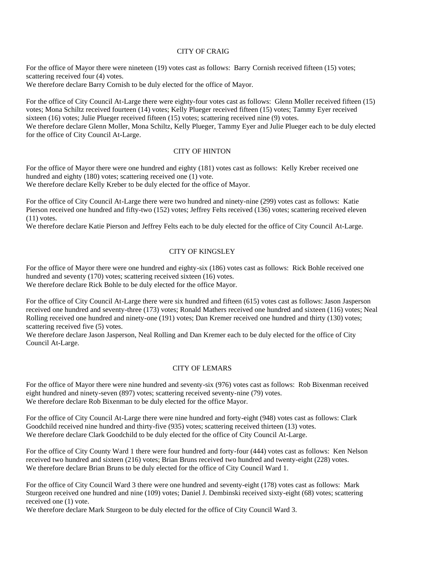### CITY OF CRAIG

For the office of Mayor there were nineteen (19) votes cast as follows: Barry Cornish received fifteen (15) votes; scattering received four (4) votes.

We therefore declare Barry Cornish to be duly elected for the office of Mayor.

For the office of City Council At-Large there were eighty-four votes cast as follows: Glenn Moller received fifteen (15) votes; Mona Schiltz received fourteen (14) votes; Kelly Plueger received fifteen (15) votes; Tammy Eyer received sixteen (16) votes; Julie Plueger received fifteen (15) votes; scattering received nine (9) votes. We therefore declare Glenn Moller, Mona Schiltz, Kelly Plueger, Tammy Eyer and Julie Plueger each to be duly elected for the office of City Council At-Large.

# CITY OF HINTON

For the office of Mayor there were one hundred and eighty (181) votes cast as follows: Kelly Kreber received one hundred and eighty (180) votes; scattering received one (1) vote. We therefore declare Kelly Kreber to be duly elected for the office of Mayor.

For the office of City Council At-Large there were two hundred and ninety-nine (299) votes cast as follows: Katie Pierson received one hundred and fifty-two (152) votes; Jeffrey Felts received (136) votes; scattering received eleven  $(11)$  votes.

We therefore declare Katie Pierson and Jeffrey Felts each to be duly elected for the office of City Council At-Large.

# CITY OF KINGSLEY

For the office of Mayor there were one hundred and eighty-six (186) votes cast as follows: Rick Bohle received one hundred and seventy (170) votes; scattering received sixteen (16) votes. We therefore declare Rick Bohle to be duly elected for the office Mayor.

For the office of City Council At-Large there were six hundred and fifteen (615) votes cast as follows: Jason Jasperson received one hundred and seventy-three (173) votes; Ronald Mathers received one hundred and sixteen (116) votes; Neal Rolling received one hundred and ninety-one (191) votes; Dan Kremer received one hundred and thirty (130) votes; scattering received five (5) votes.

We therefore declare Jason Jasperson, Neal Rolling and Dan Kremer each to be duly elected for the office of City Council At-Large.

## CITY OF LEMARS

For the office of Mayor there were nine hundred and seventy-six (976) votes cast as follows: Rob Bixenman received eight hundred and ninety-seven (897) votes; scattering received seventy-nine (79) votes. We therefore declare Rob Bixenman to be duly elected for the office Mayor.

For the office of City Council At-Large there were nine hundred and forty-eight (948) votes cast as follows: Clark Goodchild received nine hundred and thirty-five (935) votes; scattering received thirteen (13) votes. We therefore declare Clark Goodchild to be duly elected for the office of City Council At-Large.

For the office of City County Ward 1 there were four hundred and forty-four (444) votes cast as follows: Ken Nelson received two hundred and sixteen (216) votes; Brian Bruns received two hundred and twenty-eight (228) votes. We therefore declare Brian Bruns to be duly elected for the office of City Council Ward 1.

For the office of City Council Ward 3 there were one hundred and seventy-eight (178) votes cast as follows: Mark Sturgeon received one hundred and nine (109) votes; Daniel J. Dembinski received sixty-eight (68) votes; scattering received one (1) vote.

We therefore declare Mark Sturgeon to be duly elected for the office of City Council Ward 3.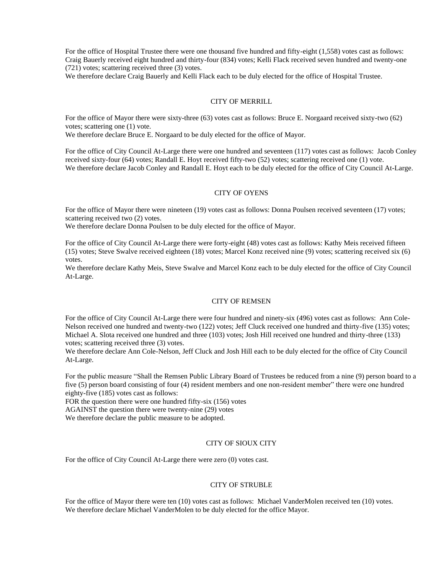For the office of Hospital Trustee there were one thousand five hundred and fifty-eight (1,558) votes cast as follows: Craig Bauerly received eight hundred and thirty-four (834) votes; Kelli Flack received seven hundred and twenty-one (721) votes; scattering received three (3) votes.

We therefore declare Craig Bauerly and Kelli Flack each to be duly elected for the office of Hospital Trustee.

### CITY OF MERRILL

For the office of Mayor there were sixty-three (63) votes cast as follows: Bruce E. Norgaard received sixty-two (62) votes; scattering one (1) vote.

We therefore declare Bruce E. Norgaard to be duly elected for the office of Mayor.

For the office of City Council At-Large there were one hundred and seventeen (117) votes cast as follows: Jacob Conley received sixty-four (64) votes; Randall E. Hoyt received fifty-two (52) votes; scattering received one (1) vote. We therefore declare Jacob Conley and Randall E. Hoyt each to be duly elected for the office of City Council At-Large.

#### CITY OF OYENS

For the office of Mayor there were nineteen (19) votes cast as follows: Donna Poulsen received seventeen (17) votes; scattering received two (2) votes.

We therefore declare Donna Poulsen to be duly elected for the office of Mayor.

For the office of City Council At-Large there were forty-eight (48) votes cast as follows: Kathy Meis received fifteen (15) votes; Steve Swalve received eighteen (18) votes; Marcel Konz received nine (9) votes; scattering received six (6) votes.

We therefore declare Kathy Meis, Steve Swalve and Marcel Konz each to be duly elected for the office of City Council At-Large.

#### CITY OF REMSEN

For the office of City Council At-Large there were four hundred and ninety-six (496) votes cast as follows: Ann Cole-Nelson received one hundred and twenty-two (122) votes; Jeff Cluck received one hundred and thirty-five (135) votes; Michael A. Slota received one hundred and three (103) votes; Josh Hill received one hundred and thirty-three (133) votes; scattering received three (3) votes.

We therefore declare Ann Cole-Nelson, Jeff Cluck and Josh Hill each to be duly elected for the office of City Council At-Large.

For the public measure "Shall the Remsen Public Library Board of Trustees be reduced from a nine (9) person board to a five (5) person board consisting of four (4) resident members and one non-resident member" there were one hundred eighty-five (185) votes cast as follows:

FOR the question there were one hundred fifty-six (156) votes

AGAINST the question there were twenty-nine (29) votes

We therefore declare the public measure to be adopted.

### CITY OF SIOUX CITY

For the office of City Council At-Large there were zero (0) votes cast.

#### CITY OF STRUBLE

For the office of Mayor there were ten (10) votes cast as follows: Michael VanderMolen received ten (10) votes. We therefore declare Michael VanderMolen to be duly elected for the office Mayor.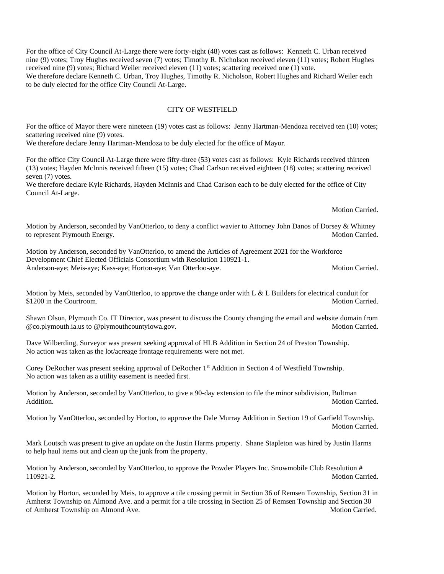For the office of City Council At-Large there were forty-eight (48) votes cast as follows: Kenneth C. Urban received nine (9) votes; Troy Hughes received seven (7) votes; Timothy R. Nicholson received eleven (11) votes; Robert Hughes received nine (9) votes; Richard Weiler received eleven (11) votes; scattering received one (1) vote. We therefore declare Kenneth C. Urban, Troy Hughes, Timothy R. Nicholson, Robert Hughes and Richard Weiler each to be duly elected for the office City Council At-Large.

### CITY OF WESTFIELD

For the office of Mayor there were nineteen (19) votes cast as follows: Jenny Hartman-Mendoza received ten (10) votes; scattering received nine (9) votes.

We therefore declare Jenny Hartman-Mendoza to be duly elected for the office of Mayor.

For the office City Council At-Large there were fifty-three (53) votes cast as follows: Kyle Richards received thirteen (13) votes; Hayden McInnis received fifteen (15) votes; Chad Carlson received eighteen (18) votes; scattering received seven (7) votes.

We therefore declare Kyle Richards, Hayden McInnis and Chad Carlson each to be duly elected for the office of City Council At-Large.

Motion Carried.

Motion by Anderson, seconded by VanOtterloo, to deny a conflict wavier to Attorney John Danos of Dorsey & Whitney to represent Plymouth Energy. Motion Carried.

Motion by Anderson, seconded by VanOtterloo, to amend the Articles of Agreement 2021 for the Workforce Development Chief Elected Officials Consortium with Resolution 110921-1. Anderson-aye; Meis-aye; Kass-aye; Horton-aye; Van Otterloo-aye. Motion Carried. Motion Carried.

Motion by Meis, seconded by VanOtterloo, to approve the change order with L & L Builders for electrical conduit for \$1200 in the Courtroom. Motion Carried.

Shawn Olson, Plymouth Co. IT Director, was present to discuss the County changing the email and website domain from @co.plymouth.ia.us to @plymouthcountyiowa.gov. Motion Carried.

Dave Wilberding, Surveyor was present seeking approval of HLB Addition in Section 24 of Preston Township. No action was taken as the lot/acreage frontage requirements were not met.

Corey DeRocher was present seeking approval of DeRocher 1<sup>st</sup> Addition in Section 4 of Westfield Township. No action was taken as a utility easement is needed first.

Motion by Anderson, seconded by VanOtterloo, to give a 90-day extension to file the minor subdivision, Bultman Addition. Motion Carried.

Motion by VanOtterloo, seconded by Horton, to approve the Dale Murray Addition in Section 19 of Garfield Township. Motion Carried.

Mark Loutsch was present to give an update on the Justin Harms property. Shane Stapleton was hired by Justin Harms to help haul items out and clean up the junk from the property.

Motion by Anderson, seconded by VanOtterloo, to approve the Powder Players Inc. Snowmobile Club Resolution # 110921-2. Motion Carried.

Motion by Horton, seconded by Meis, to approve a tile crossing permit in Section 36 of Remsen Township, Section 31 in Amherst Township on Almond Ave. and a permit for a tile crossing in Section 25 of Remsen Township and Section 30 of Amherst Township on Almond Ave. Motion Carried. Motion Carried.